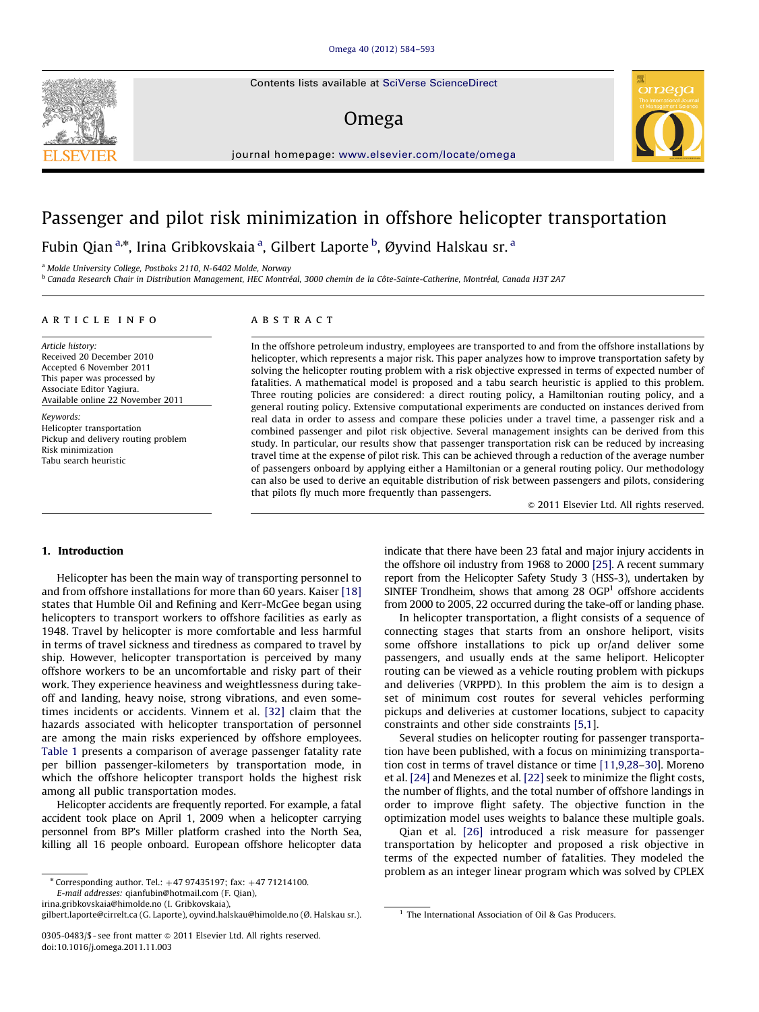Contents lists available at [SciVerse ScienceDirect](www.elsevier.com/locate/omega)

# Omega



journal homepage: <www.elsevier.com/locate/omega>

# Passenger and pilot risk minimization in offshore helicopter transportation

Fubin Qian <sup>a,</sup>\*, Irina Gribkovskaia <sup>a</sup>, Gilbert Laporte <sup>b</sup>, Øyvind Halskau sr. <sup>a</sup>

<sup>a</sup> Molde University College, Postboks 2110, N-6402 Molde, Norway

<sup>b</sup> Canada Research Chair in Distribution Management, HEC Montréal, 3000 chemin de la Côte-Sainte-Catherine, Montréal, Canada H3T 2A7

#### article info

Article history: Received 20 December 2010 Accepted 6 November 2011 This paper was processed by Associate Editor Yagiura. Available online 22 November 2011

Keywords: Helicopter transportation Pickup and delivery routing problem Risk minimization Tabu search heuristic

## ABSTRACT

In the offshore petroleum industry, employees are transported to and from the offshore installations by helicopter, which represents a major risk. This paper analyzes how to improve transportation safety by solving the helicopter routing problem with a risk objective expressed in terms of expected number of fatalities. A mathematical model is proposed and a tabu search heuristic is applied to this problem. Three routing policies are considered: a direct routing policy, a Hamiltonian routing policy, and a general routing policy. Extensive computational experiments are conducted on instances derived from real data in order to assess and compare these policies under a travel time, a passenger risk and a combined passenger and pilot risk objective. Several management insights can be derived from this study. In particular, our results show that passenger transportation risk can be reduced by increasing travel time at the expense of pilot risk. This can be achieved through a reduction of the average number of passengers onboard by applying either a Hamiltonian or a general routing policy. Our methodology can also be used to derive an equitable distribution of risk between passengers and pilots, considering that pilots fly much more frequently than passengers.

 $\odot$  2011 Elsevier Ltd. All rights reserved.

## 1. Introduction

Helicopter has been the main way of transporting personnel to and from offshore installations for more than 60 years. Kaiser [\[18\]](#page--1-0) states that Humble Oil and Refining and Kerr-McGee began using helicopters to transport workers to offshore facilities as early as 1948. Travel by helicopter is more comfortable and less harmful in terms of travel sickness and tiredness as compared to travel by ship. However, helicopter transportation is perceived by many offshore workers to be an uncomfortable and risky part of their work. They experience heaviness and weightlessness during takeoff and landing, heavy noise, strong vibrations, and even sometimes incidents or accidents. Vinnem et al. [\[32\]](#page--1-0) claim that the hazards associated with helicopter transportation of personnel are among the main risks experienced by offshore employees. [Table 1](#page-1-0) presents a comparison of average passenger fatality rate per billion passenger-kilometers by transportation mode, in which the offshore helicopter transport holds the highest risk among all public transportation modes.

Helicopter accidents are frequently reported. For example, a fatal accident took place on April 1, 2009 when a helicopter carrying personnel from BP's Miller platform crashed into the North Sea, killing all 16 people onboard. European offshore helicopter data

E-mail addresses: [qianfubin@hotmail.com \(F. Qian\)](mailto:qianfubin@hotmail.com),

[irina.gribkovskaia@himolde.no \(I. Gribkovskaia\),](mailto:irina.gribkovskaia@himolde.no)

[gilbert.laporte@cirrelt.ca \(G. Laporte\)](mailto:gilbert.laporte@cirrelt.ca), [oyvind.halskau@himolde.no \(Ø. Halskau sr.\)](mailto:oyvind.halskau@himolde.no). <sup>1</sup> The International Association of Oil & Gas Producers.

indicate that there have been 23 fatal and major injury accidents in the offshore oil industry from 1968 to 2000 [\[25\]](#page--1-0). A recent summary report from the Helicopter Safety Study 3 (HSS-3), undertaken by SINTEF Trondheim, shows that among  $28 \text{ OGP}^1$  offshore accidents from 2000 to 2005, 22 occurred during the take-off or landing phase.

In helicopter transportation, a flight consists of a sequence of connecting stages that starts from an onshore heliport, visits some offshore installations to pick up or/and deliver some passengers, and usually ends at the same heliport. Helicopter routing can be viewed as a vehicle routing problem with pickups and deliveries (VRPPD). In this problem the aim is to design a set of minimum cost routes for several vehicles performing pickups and deliveries at customer locations, subject to capacity constraints and other side constraints [\[5,1](#page--1-0)].

Several studies on helicopter routing for passenger transportation have been published, with a focus on minimizing transportation cost in terms of travel distance or time [\[11,9,28–30\]](#page--1-0). Moreno et al. [\[24\]](#page--1-0) and Menezes et al. [\[22\]](#page--1-0) seek to minimize the flight costs, the number of flights, and the total number of offshore landings in order to improve flight safety. The objective function in the optimization model uses weights to balance these multiple goals.

Qian et al. [\[26\]](#page--1-0) introduced a risk measure for passenger transportation by helicopter and proposed a risk objective in terms of the expected number of fatalities. They modeled the problem as an integer linear program which was solved by CPLEX

 $*$  Corresponding author. Tel.:  $+47$  97435197; fax:  $+47$  71214100.

<sup>0305-0483/\$ -</sup> see front matter  $\odot$  2011 Elsevier Ltd. All rights reserved. doi:[10.1016/j.omega.2011.11.003](dx.doi.org/10.1016/j.omega.2011.11.003)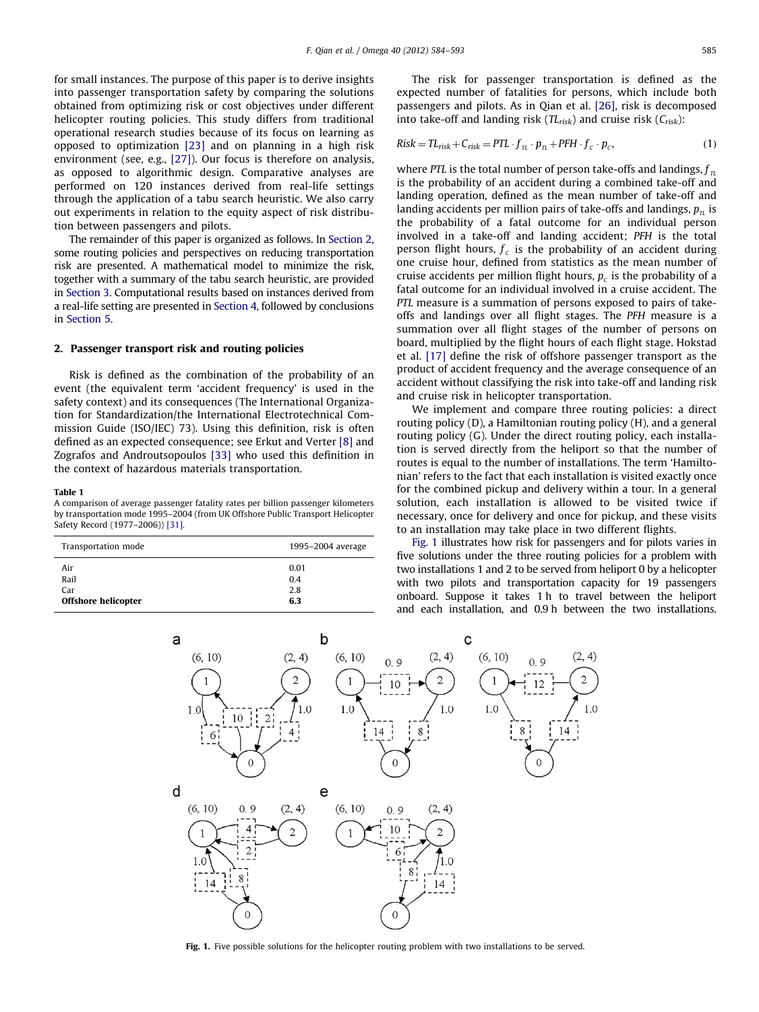<span id="page-1-0"></span>for small instances. The purpose of this paper is to derive insights into passenger transportation safety by comparing the solutions obtained from optimizing risk or cost objectives under different helicopter routing policies. This study differs from traditional operational research studies because of its focus on learning as opposed to optimization [\[23\]](#page--1-0) and on planning in a high risk environment (see, e.g., [\[27\]\)](#page--1-0). Our focus is therefore on analysis, as opposed to algorithmic design. Comparative analyses are performed on 120 instances derived from real-life settings through the application of a tabu search heuristic. We also carry out experiments in relation to the equity aspect of risk distribution between passengers and pilots.

The remainder of this paper is organized as follows. In Section 2, some routing policies and perspectives on reducing transportation risk are presented. A mathematical model to minimize the risk, together with a summary of the tabu search heuristic, are provided in [Section 3.](#page--1-0) Computational results based on instances derived from a real-life setting are presented in [Section 4](#page--1-0), followed by conclusions in [Section 5.](#page--1-0)

### 2. Passenger transport risk and routing policies

Risk is defined as the combination of the probability of an event (the equivalent term 'accident frequency' is used in the safety context) and its consequences (The International Organization for Standardization/the International Electrotechnical Commission Guide (ISO/IEC) 73). Using this definition, risk is often defined as an expected consequence; see Erkut and Verter [\[8\]](#page--1-0) and Zografos and Androutsopoulos [\[33\]](#page--1-0) who used this definition in the context of hazardous materials transportation.

#### Table 1

A comparison of average passenger fatality rates per billion passenger kilometers by transportation mode 1995–2004 (from UK Offshore Public Transport Helicopter Safety Record (1977–2006)) [\[31\]](#page--1-0).

| Transportation mode | 1995-2004 average |
|---------------------|-------------------|
| Air                 | 0.01              |
| Rail                | 0.4               |
| Car                 | 2.8               |
| Offshore helicopter | 6.3               |

The risk for passenger transportation is defined as the expected number of fatalities for persons, which include both passengers and pilots. As in Qian et al. [\[26\],](#page--1-0) risk is decomposed into take-off and landing risk ( $TL<sub>risk</sub>$ ) and cruise risk ( $C<sub>risk</sub>$ ):

$$
Risk = TLrisk + Crisk = PTL \cdot fπ \cdot pπ + PFH \cdot fc \cdot pc,
$$
\n(1)

where PTL is the total number of person take-offs and landings,  $f_{\pi}$ is the probability of an accident during a combined take-off and landing operation, defined as the mean number of take-off and landing accidents per million pairs of take-offs and landings,  $p<sub>tt</sub>$  is the probability of a fatal outcome for an individual person involved in a take-off and landing accident; PFH is the total person flight hours,  $f_c$  is the probability of an accident during one cruise hour, defined from statistics as the mean number of cruise accidents per million flight hours,  $p_c$  is the probability of a fatal outcome for an individual involved in a cruise accident. The PTL measure is a summation of persons exposed to pairs of takeoffs and landings over all flight stages. The PFH measure is a summation over all flight stages of the number of persons on board, multiplied by the flight hours of each flight stage. Hokstad et al. [\[17\]](#page--1-0) define the risk of offshore passenger transport as the product of accident frequency and the average consequence of an accident without classifying the risk into take-off and landing risk and cruise risk in helicopter transportation.

We implement and compare three routing policies: a direct routing policy (D), a Hamiltonian routing policy (H), and a general routing policy (G). Under the direct routing policy, each installation is served directly from the heliport so that the number of routes is equal to the number of installations. The term 'Hamiltonian' refers to the fact that each installation is visited exactly once for the combined pickup and delivery within a tour. In a general solution, each installation is allowed to be visited twice if necessary, once for delivery and once for pickup, and these visits to an installation may take place in two different flights.

Fig. 1 illustrates how risk for passengers and for pilots varies in five solutions under the three routing policies for a problem with two installations 1 and 2 to be served from heliport 0 by a helicopter with two pilots and transportation capacity for 19 passengers onboard. Suppose it takes 1 h to travel between the heliport and each installation, and 0.9 h between the two installations.



Fig. 1. Five possible solutions for the helicopter routing problem with two installations to be served.